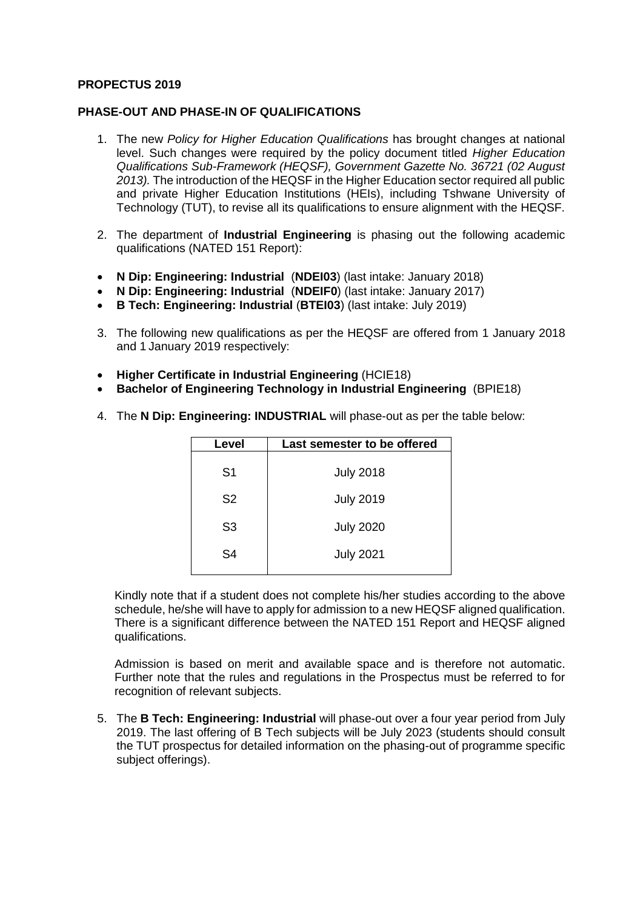#### **PROPECTUS 2019**

#### **PHASE-OUT AND PHASE-IN OF QUALIFICATIONS**

- 1. The new *Policy for Higher Education Qualifications* has brought changes at national level. Such changes were required by the policy document titled *Higher Education Qualifications Sub-Framework (HEQSF), Government Gazette No. 36721 (02 August 2013).* The introduction of the HEQSF in the Higher Education sector required all public and private Higher Education Institutions (HEIs), including Tshwane University of Technology (TUT), to revise all its qualifications to ensure alignment with the HEQSF.
- 2. The department of **Industrial Engineering** is phasing out the following academic qualifications (NATED 151 Report):
- **N Dip: Engineering: Industrial** (**NDEI03**) (last intake: January 2018)
- **N Dip: Engineering: Industrial** (**NDEIF0**) (last intake: January 2017)
- **B Tech: Engineering: Industrial** (**BTEI03**) (last intake: July 2019)
- 3. The following new qualifications as per the HEQSF are offered from 1 January 2018 and 1 January 2019 respectively:
- **Higher Certificate in Industrial Engineering** (HCIE18)
- **Bachelor of Engineering Technology in Industrial Engineering** (BPIE18)
- 4. The **N Dip: Engineering: INDUSTRIAL** will phase-out as per the table below:

| Level          | Last semester to be offered |  |
|----------------|-----------------------------|--|
| S <sub>1</sub> | <b>July 2018</b>            |  |
| S <sub>2</sub> | <b>July 2019</b>            |  |
| S <sub>3</sub> | <b>July 2020</b>            |  |
| S4             | <b>July 2021</b>            |  |
|                |                             |  |

Kindly note that if a student does not complete his/her studies according to the above schedule, he/she will have to apply for admission to a new HEQSF aligned qualification. There is a significant difference between the NATED 151 Report and HEQSF aligned qualifications.

Admission is based on merit and available space and is therefore not automatic. Further note that the rules and regulations in the Prospectus must be referred to for recognition of relevant subjects.

5. The **B Tech: Engineering: Industrial** will phase-out over a four year period from July 2019. The last offering of B Tech subjects will be July 2023 (students should consult the TUT prospectus for detailed information on the phasing-out of programme specific subject offerings).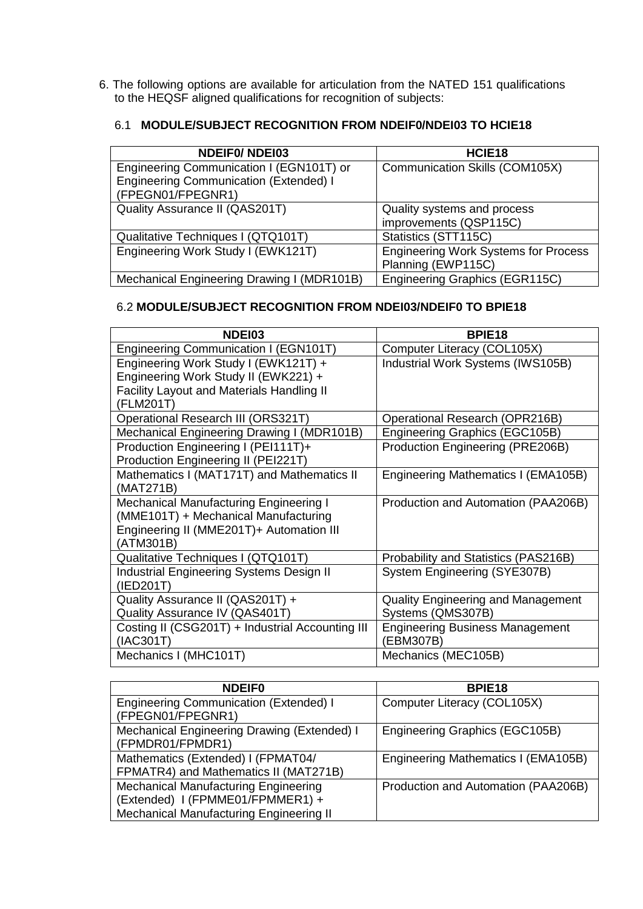6. The following options are available for articulation from the NATED 151 qualifications to the HEQSF aligned qualifications for recognition of subjects:

# 6.1 **MODULE/SUBJECT RECOGNITION FROM NDEIF0/NDEI03 TO HCIE18**

| <b>NDEIFO/NDEI03</b>                                               | HCIE <sub>18</sub>                          |
|--------------------------------------------------------------------|---------------------------------------------|
| Engineering Communication I (EGN101T) or                           | Communication Skills (COM105X)              |
| <b>Engineering Communication (Extended) I</b><br>(FPEGN01/FPEGNR1) |                                             |
|                                                                    |                                             |
| Quality Assurance II (QAS201T)                                     | Quality systems and process                 |
|                                                                    | improvements (QSP115C)                      |
| Qualitative Techniques I (QTQ101T)                                 | Statistics (STT115C)                        |
| Engineering Work Study I (EWK121T)                                 | <b>Engineering Work Systems for Process</b> |
|                                                                    | Planning (EWP115C)                          |
| Mechanical Engineering Drawing I (MDR101B)                         | Engineering Graphics (EGR115C)              |

## 6.2 **MODULE/SUBJECT RECOGNITION FROM NDEI03/NDEIF0 TO BPIE18**

| NDEI03                                           | BPIE <sub>18</sub>                         |
|--------------------------------------------------|--------------------------------------------|
| Engineering Communication I (EGN101T)            | Computer Literacy (COL105X)                |
| Engineering Work Study I (EWK121T) +             | Industrial Work Systems (IWS105B)          |
| Engineering Work Study II (EWK221) +             |                                            |
| <b>Facility Layout and Materials Handling II</b> |                                            |
| (FLM201T)                                        |                                            |
| Operational Research III (ORS321T)               | Operational Research (OPR216B)             |
| Mechanical Engineering Drawing I (MDR101B)       | Engineering Graphics (EGC105B)             |
| Production Engineering I (PEI111T)+              | Production Engineering (PRE206B)           |
| Production Engineering II (PEI221T)              |                                            |
| Mathematics I (MAT171T) and Mathematics II       | <b>Engineering Mathematics I (EMA105B)</b> |
| (MAT271B)                                        |                                            |
| Mechanical Manufacturing Engineering I           | Production and Automation (PAA206B)        |
| (MME101T) + Mechanical Manufacturing             |                                            |
| Engineering II (MME201T)+ Automation III         |                                            |
| (ATM301B)                                        |                                            |
| Qualitative Techniques I (QTQ101T)               | Probability and Statistics (PAS216B)       |
| <b>Industrial Engineering Systems Design II</b>  | System Engineering (SYE307B)               |
| (IED201T)                                        |                                            |
| Quality Assurance II (QAS201T) +                 | <b>Quality Engineering and Management</b>  |
| Quality Assurance IV (QAS401T)                   | Systems (QMS307B)                          |
| Costing II (CSG201T) + Industrial Accounting III | <b>Engineering Business Management</b>     |
| (IAC301T)                                        | (EBM307B)                                  |
| Mechanics I (MHC101T)                            | Mechanics (MEC105B)                        |

| <b>NDEIF0</b>                                                                                                              | BPIE <sub>18</sub>                  |
|----------------------------------------------------------------------------------------------------------------------------|-------------------------------------|
| <b>Engineering Communication (Extended) I</b><br>(FPEGN01/FPEGNR1)                                                         | Computer Literacy (COL105X)         |
| Mechanical Engineering Drawing (Extended) I<br>(FPMDR01/FPMDR1)                                                            | Engineering Graphics (EGC105B)      |
| Mathematics (Extended) I (FPMAT04/<br>FPMATR4) and Mathematics II (MAT271B)                                                | Engineering Mathematics I (EMA105B) |
| <b>Mechanical Manufacturing Engineering</b><br>(Extended) I (FPMME01/FPMMER1) +<br>Mechanical Manufacturing Engineering II | Production and Automation (PAA206B) |